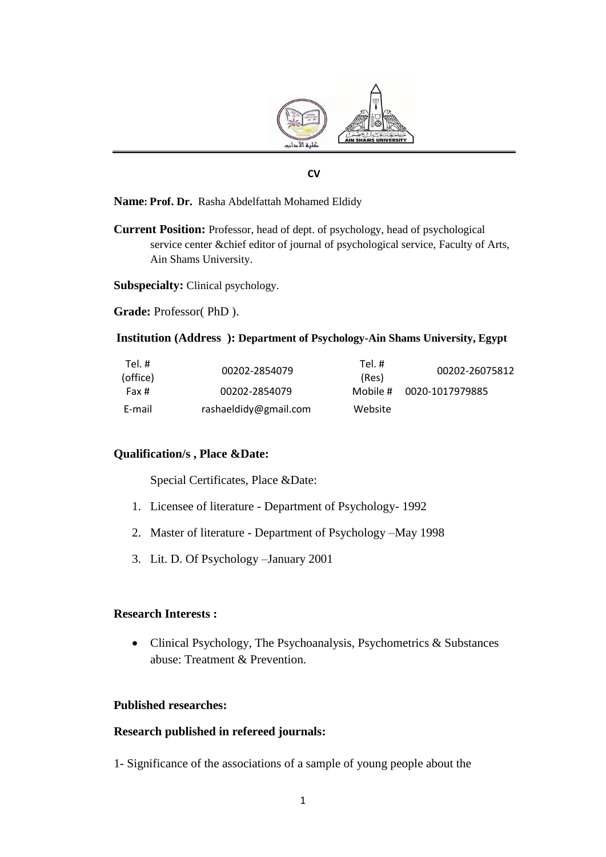

### **CV**

#### **Name: Prof. Dr.** Rasha Abdelfattah Mohamed Eldidy

**Current Position:** Professor, head of dept. of psychology, head of psychological service center &chief editor of journal of psychological service, Faculty of Arts, Ain Shams University.

**Subspecialty:** Clinical psychology.

**Grade:** Professor( PhD ).

#### **Institution (Address ): Department of Psychology-Ain Shams University, Egypt**

| Tel. #<br>(office) | 00202-2854079         | Tel. #<br>(Res) | 00202-26075812  |
|--------------------|-----------------------|-----------------|-----------------|
| Fax #              | 00202-2854079         | Mobile #        | 0020-1017979885 |
| E-mail             | rashaeldidy@gmail.com | Website         |                 |

### **Qualification/s , Place &Date:**

Special Certificates, Place &Date:

- 1. Licensee of literature Department of Psychology- 1992
- 2. Master of literature Department of Psychology –May 1998
- 3. Lit. D. Of Psychology –January 2001

### **Research Interests :**

• Clinical Psychology, The Psychoanalysis, Psychometrics  $&$  Substances abuse: Treatment & Prevention.

#### **Published researches:**

### **Research published in refereed journals:**

1- Significance of the associations of a sample of young people about the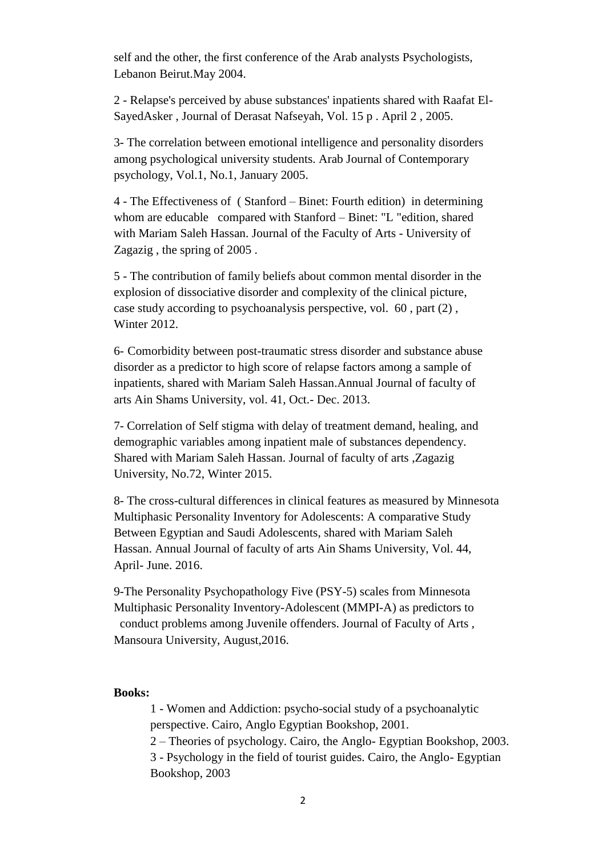self and the other, the first conference of the Arab analysts Psychologists, Lebanon Beirut.May 2004.

2 - Relapse's perceived by abuse substances' inpatients shared with Raafat El-SayedAsker , Journal of Derasat Nafseyah, Vol. 15 p . April 2 , 2005.

3- The correlation between emotional intelligence and personality disorders among psychological university students. Arab Journal of Contemporary psychology, Vol.1, No.1, January 2005.

4 - The Effectiveness of ( Stanford – Binet: Fourth edition) in determining whom are educable compared with Stanford – Binet: "L "edition, shared with Mariam Saleh Hassan. Journal of the Faculty of Arts - University of Zagazig , the spring of 2005 .

5 - The contribution of family beliefs about common mental disorder in the explosion of dissociative disorder and complexity of the clinical picture, case study according to psychoanalysis perspective, vol. 60 , part (2) , Winter 2012.

6- Comorbidity between post-traumatic stress disorder and substance abuse disorder as a predictor to high score of relapse factors among a sample of inpatients, shared with Mariam Saleh Hassan.Annual Journal of faculty of arts Ain Shams University, vol. 41, Oct.- Dec. 2013.

7- Correlation of Self stigma with delay of treatment demand, healing, and demographic variables among inpatient male of substances dependency. Shared with Mariam Saleh Hassan. Journal of faculty of arts ,Zagazig University, No.72, Winter 2015.

8- The cross-cultural differences in clinical features as measured by Minnesota Multiphasic Personality Inventory for Adolescents: A comparative Study Between Egyptian and Saudi Adolescents, shared with Mariam Saleh Hassan. Annual Journal of faculty of arts Ain Shams University, Vol. 44, April- June. 2016.

9-The Personality Psychopathology Five (PSY-5) scales from [Minnesota](https://www.google.com.eg/url?sa=t&rct=j&q=&esrc=s&source=web&cd=1&cad=rja&uact=8&ved=0ahUKEwjNxNqykt_QAhUGiRoKHYvkCW4QFggaMAA&url=http%3A%2F%2Fpearsonclinical.com%2Fpsychology%2Fproducts%2F100000465%2Fminnesota-multiphasic-personality-inventory-adolescent-mmpi-a.html&usg=AFQjCNHAyBUZJHILt6evAseV7HEq87cuWg&sig2=fnfC192-lABfew-RPqkn5Q)  [Multiphasic Personality Inventory-Adolescent \(MMPI-A\)](https://www.google.com.eg/url?sa=t&rct=j&q=&esrc=s&source=web&cd=1&cad=rja&uact=8&ved=0ahUKEwjNxNqykt_QAhUGiRoKHYvkCW4QFggaMAA&url=http%3A%2F%2Fpearsonclinical.com%2Fpsychology%2Fproducts%2F100000465%2Fminnesota-multiphasic-personality-inventory-adolescent-mmpi-a.html&usg=AFQjCNHAyBUZJHILt6evAseV7HEq87cuWg&sig2=fnfC192-lABfew-RPqkn5Q) as predictors to conduct problems among Juvenile offenders. Journal of Faculty of Arts , Mansoura University, August,2016.

#### **Books:**

1 - Women and Addiction: psycho-social study of a psychoanalytic perspective. Cairo, Anglo Egyptian Bookshop, 2001.

2 – Theories of psychology. Cairo, the Anglo- Egyptian Bookshop, 2003.

3 - Psychology in the field of tourist guides. Cairo, the Anglo- Egyptian Bookshop, 2003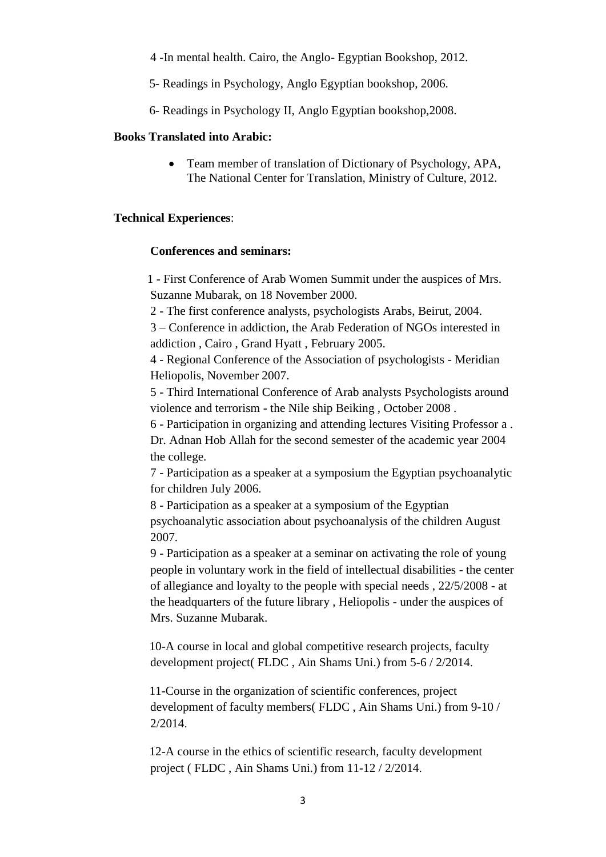4 -In mental health. Cairo, the Anglo- Egyptian Bookshop, 2012.

5- Readings in Psychology, Anglo Egyptian bookshop, 2006.

6- Readings in Psychology II, Anglo Egyptian bookshop,2008.

### **Books Translated into Arabic:**

 Team member of translation of Dictionary of Psychology, APA, The National Center for Translation, Ministry of Culture, 2012.

## **Technical Experiences**:

### **Conferences and seminars:**

 1 - First Conference of Arab Women Summit under the auspices of Mrs. Suzanne Mubarak, on 18 November 2000.

2 - The first conference analysts, psychologists Arabs, Beirut, 2004.

3 – Conference in addiction, the Arab Federation of NGOs interested in addiction , Cairo , Grand Hyatt , February 2005.

4 - Regional Conference of the Association of psychologists - Meridian Heliopolis, November 2007.

5 - Third International Conference of Arab analysts Psychologists around violence and terrorism - the Nile ship Beiking , October 2008 .

6 - Participation in organizing and attending lectures Visiting Professor a .

Dr. Adnan Hob Allah for the second semester of the academic year 2004 the college.

7 - Participation as a speaker at a symposium the Egyptian psychoanalytic for children July 2006.

8 - Participation as a speaker at a symposium of the Egyptian psychoanalytic association about psychoanalysis of the children August 2007.

9 - Participation as a speaker at a seminar on activating the role of young people in voluntary work in the field of intellectual disabilities - the center of allegiance and loyalty to the people with special needs , 22/5/2008 - at the headquarters of the future library , Heliopolis - under the auspices of Mrs. Suzanne Mubarak.

10-A course in local and global competitive research projects, faculty development project( FLDC , Ain Shams Uni.) from 5-6 / 2/2014.

11-Course in the organization of scientific conferences, project development of faculty members( FLDC , Ain Shams Uni.) from 9-10 / 2/2014.

12-A course in the ethics of scientific research, faculty development project ( FLDC , Ain Shams Uni.) from 11-12 / 2/2014.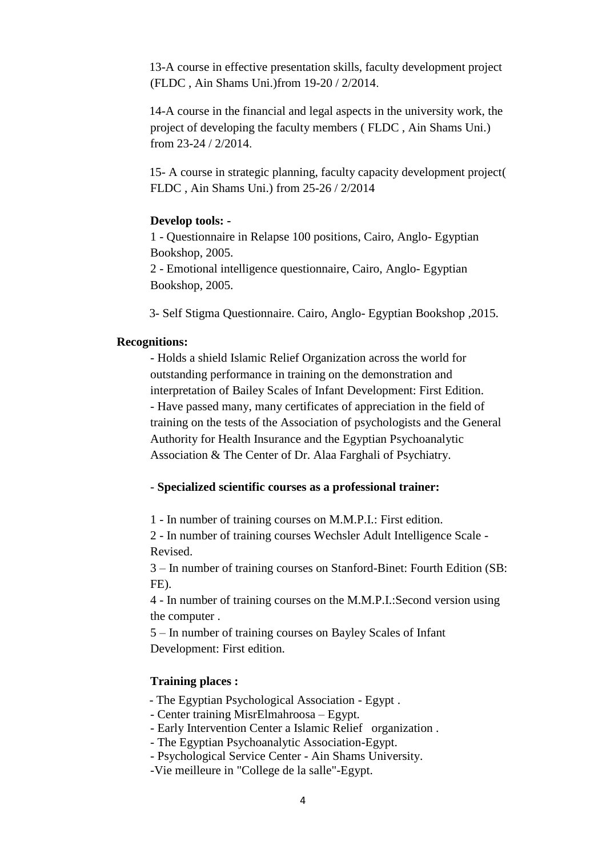13-A course in effective presentation skills, faculty development project (FLDC , Ain Shams Uni.)from 19-20 / 2/2014.

14-A course in the financial and legal aspects in the university work, the project of developing the faculty members ( FLDC , Ain Shams Uni.) from 23-24 / 2/2014.

15- A course in strategic planning, faculty capacity development project( FLDC , Ain Shams Uni.) from 25-26 / 2/2014

### **Develop tools: -**

1 - Questionnaire in Relapse 100 positions, Cairo, Anglo- Egyptian Bookshop, 2005.

2 - Emotional intelligence questionnaire, Cairo, Anglo- Egyptian Bookshop, 2005.

3- Self Stigma Questionnaire. Cairo, Anglo- Egyptian Bookshop ,2015.

### **Recognitions:**

- Holds a shield Islamic Relief Organization across the world for outstanding performance in training on the demonstration and interpretation of Bailey Scales of Infant Development: First Edition. - Have passed many, many certificates of appreciation in the field of training on the tests of the Association of psychologists and the General Authority for Health Insurance and the Egyptian Psychoanalytic Association & The Center of Dr. Alaa Farghali of Psychiatry.

## - **Specialized scientific courses as a professional trainer:**

1 - In number of training courses on M.M.P.I.: First edition.

2 - In number of training courses Wechsler Adult Intelligence Scale - Revised.

3 – In number of training courses on Stanford-Binet: Fourth Edition (SB: FE).

4 - In number of training courses on the M.M.P.I.:Second version using the computer .

5 – In number of training courses on Bayley Scales of Infant Development: First edition.

## **Training places :**

- The Egyptian Psychological Association - Egypt .

- Center training MisrElmahroosa – Egypt.

- Early Intervention Center a Islamic Relief organization .
- The Egyptian Psychoanalytic Association-Egypt.
- Psychological Service Center Ain Shams University.

-Vie meilleure in "College de la salle"-Egypt.